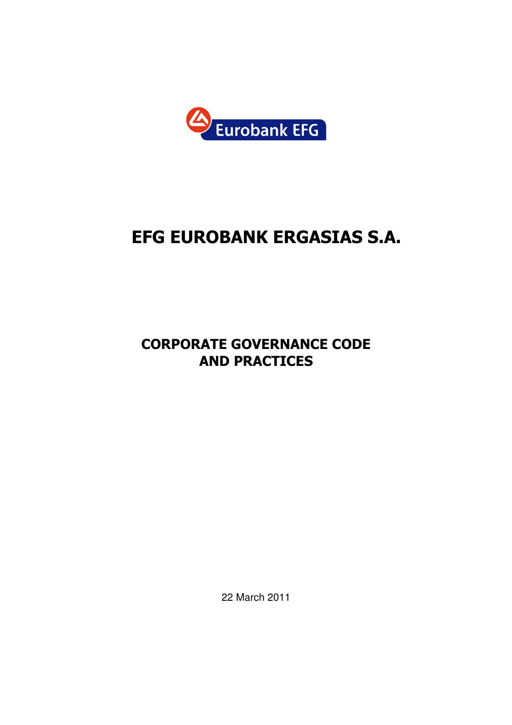

# EFG EUROBANK ERGASIΑS S.A.

# CORPORATE GOVERNANCE CODE AND PRACTICES

22 March 2011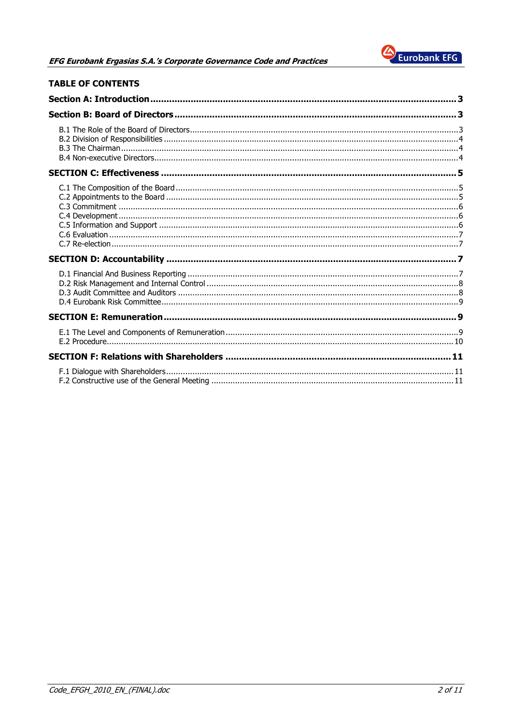

| <b>TABLE OF CONTENTS</b> |  |
|--------------------------|--|
|                          |  |
|                          |  |
|                          |  |
|                          |  |
|                          |  |
|                          |  |
|                          |  |
|                          |  |
|                          |  |
|                          |  |
|                          |  |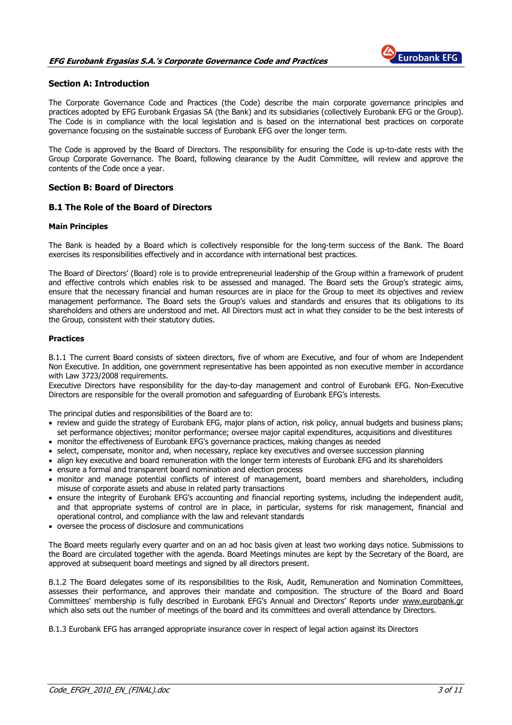

# Section A: Introduction

The Corporate Governance Code and Practices (the Code) describe the main corporate governance principles and practices adopted by EFG Eurobank Ergasias SA (the Bank) and its subsidiaries (collectively Eurobank EFG or the Group). The Code is in compliance with the local legislation and is based on the international best practices on corporate governance focusing on the sustainable success of Eurobank EFG over the longer term.

The Code is approved by the Board of Directors. The responsibility for ensuring the Code is up-to-date rests with the Group Corporate Governance. The Board, following clearance by the Audit Committee, will review and approve the contents of the Code once a year.

# Section B: Board of Directors

# B.1 The Role of the Board of Directors

#### Main Principles

The Bank is headed by a Board which is collectively responsible for the long-term success of the Bank. The Board exercises its responsibilities effectively and in accordance with international best practices.

The Board of Directors' (Board) role is to provide entrepreneurial leadership of the Group within a framework of prudent and effective controls which enables risk to be assessed and managed. The Board sets the Group's strategic aims, ensure that the necessary financial and human resources are in place for the Group to meet its objectives and review management performance. The Board sets the Group's values and standards and ensures that its obligations to its shareholders and others are understood and met. All Directors must act in what they consider to be the best interests of the Group, consistent with their statutory duties.

# Practices

B.1.1 The current Board consists of sixteen directors, five of whom are Εxecutive, and four of whom are Independent Non Executive. In addition, one government representative has been appointed as non executive member in accordance with Law 3723/2008 requirements.

Executive Directors have responsibility for the day-to-day management and control of Eurobank EFG. Non-Executive Directors are responsible for the overall promotion and safeguarding of Eurobank EFG's interests.

The principal duties and responsibilities of the Board are to:

- review and guide the strategy of Eurobank EFG, major plans of action, risk policy, annual budgets and business plans; set performance objectives; monitor performance; oversee major capital expenditures, acquisitions and divestitures
- monitor the effectiveness of Eurobank EFG's governance practices, making changes as needed
- select, compensate, monitor and, when necessary, replace key executives and oversee succession planning
- align key executive and board remuneration with the longer term interests of Eurobank EFG and its shareholders • ensure a formal and transparent board nomination and election process
- 
- monitor and manage potential conflicts of interest of management, board members and shareholders, including misuse of corporate assets and abuse in related party transactions
- ensure the integrity of Eurobank EFG's accounting and financial reporting systems, including the independent audit, and that appropriate systems of control are in place, in particular, systems for risk management, financial and operational control, and compliance with the law and relevant standards
- oversee the process of disclosure and communications

The Board meets regularly every quarter and on an ad hoc basis given at least two working days notice. Submissions to the Board are circulated together with the agenda. Board Meetings minutes are kept by the Secretary of the Board, are approved at subsequent board meetings and signed by all directors present.

B.1.2 The Board delegates some of its responsibilities to the Risk, Audit, Remuneration and Nomination Committees, assesses their performance, and approves their mandate and composition. The structure of the Board and Board Committees' membership is fully described in Eurobank EFG's Annual and Directors' Reports under www.eurobank.gr which also sets out the number of meetings of the board and its committees and overall attendance by Directors.

B.1.3 Eurobank EFG has arranged appropriate insurance cover in respect of legal action against its Directors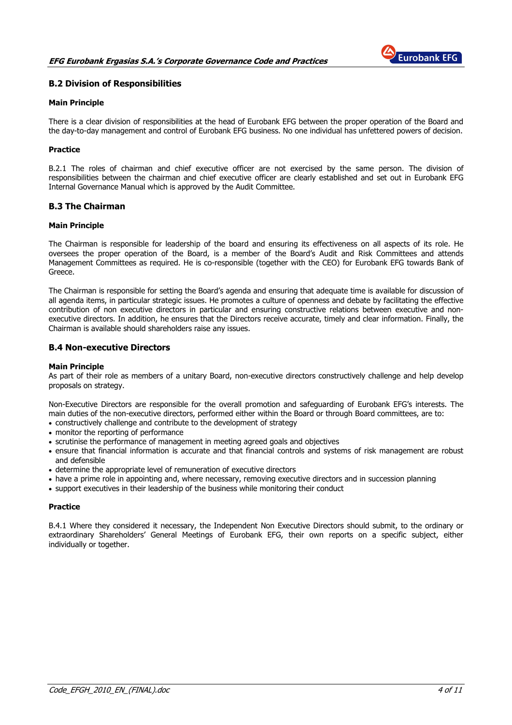

# B.2 Division of Responsibilities

#### Main Principle

There is a clear division of responsibilities at the head of Eurobank EFG between the proper operation of the Board and the day-to-day management and control of Eurobank EFG business. No one individual has unfettered powers of decision.

# **Practice**

B.2.1 The roles of chairman and chief executive officer are not exercised by the same person. The division of responsibilities between the chairman and chief executive officer are clearly established and set out in Eurobank EFG Internal Governance Manual which is approved by the Audit Committee.

# B.3 The Chairman

#### Main Principle

The Chairman is responsible for leadership of the board and ensuring its effectiveness on all aspects of its role. He oversees the proper operation of the Board, is a member of the Board's Audit and Risk Committees and attends Management Committees as required. He is co-responsible (together with the CEO) for Eurobank EFG towards Bank of Greece.

The Chairman is responsible for setting the Board's agenda and ensuring that adequate time is available for discussion of all agenda items, in particular strategic issues. He promotes a culture of openness and debate by facilitating the effective contribution of non executive directors in particular and ensuring constructive relations between executive and nonexecutive directors. In addition, he ensures that the Directors receive accurate, timely and clear information. Finally, the Chairman is available should shareholders raise any issues.

# B.4 Non-executive Directors

#### Main Principle

As part of their role as members of a unitary Board, non-executive directors constructively challenge and help develop proposals on strategy.

Non-Executive Directors are responsible for the overall promotion and safeguarding of Eurobank EFG's interests. The main duties of the non-executive directors, performed either within the Board or through Board committees, are to:

- constructively challenge and contribute to the development of strategy
- monitor the reporting of performance
- scrutinise the performance of management in meeting agreed goals and objectives
- ensure that financial information is accurate and that financial controls and systems of risk management are robust and defensible
- determine the appropriate level of remuneration of executive directors
- have a prime role in appointing and, where necessary, removing executive directors and in succession planning
- support executives in their leadership of the business while monitoring their conduct

#### **Practice**

B.4.1 Where they considered it necessary, the Independent Non Executive Directors should submit, to the ordinary or extraordinary Shareholders' General Meetings of Eurobank EFG, their own reports on a specific subject, either individually or together.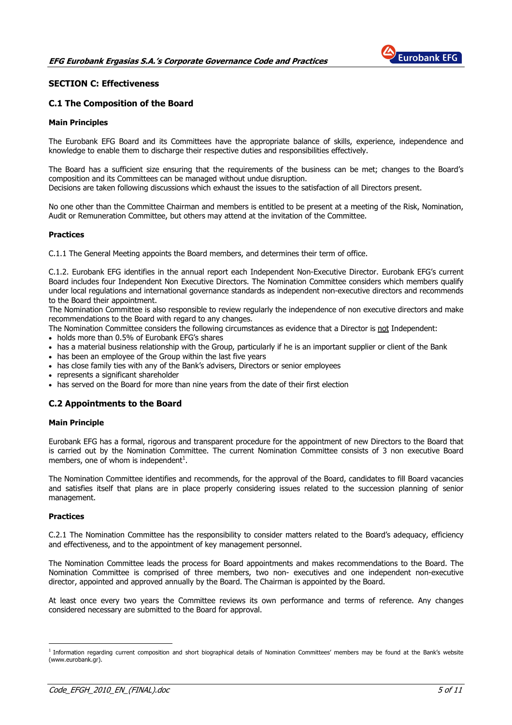

# SECTION C: Effectiveness

# C.1 The Composition of the Board

#### Main Principles

The Eurobank EFG Board and its Committees have the appropriate balance of skills, experience, independence and knowledge to enable them to discharge their respective duties and responsibilities effectively.

The Board has a sufficient size ensuring that the requirements of the business can be met; changes to the Board's composition and its Committees can be managed without undue disruption.

Decisions are taken following discussions which exhaust the issues to the satisfaction of all Directors present.

No one other than the Committee Chairman and members is entitled to be present at a meeting of the Risk, Nomination, Audit or Remuneration Committee, but others may attend at the invitation of the Committee.

#### **Practices**

C.1.1 The General Meeting appoints the Board members, and determines their term of office.

C.1.2. Eurobank EFG identifies in the annual report each Independent Non-Executive Director. Eurobank EFG's current Board includes four Independent Non Executive Directors. The Nomination Committee considers which members qualify under local regulations and international governance standards as independent non-executive directors and recommends to the Board their appointment.

The Nomination Committee is also responsible to review regularly the independence of non executive directors and make recommendations to the Board with regard to any changes.

The Nomination Committee considers the following circumstances as evidence that a Director is not Independent:

- holds more than 0.5% of Eurobank EFG's shares
- has a material business relationship with the Group, particularly if he is an important supplier or client of the Bank
- has been an employee of the Group within the last five years
- has close family ties with any of the Bank's advisers, Directors or senior employees
- represents a significant shareholder
- has served on the Board for more than nine years from the date of their first election

# C.2 Appointments to the Board

#### Main Principle

Eurobank EFG has a formal, rigorous and transparent procedure for the appointment of new Directors to the Board that is carried out by the Nomination Committee. The current Nomination Committee consists of 3 non executive Board members, one of whom is independent $^1$ .

The Nomination Committee identifies and recommends, for the approval of the Board, candidates to fill Board vacancies and satisfies itself that plans are in place properly considering issues related to the succession planning of senior management.

#### Practices

 $\overline{a}$ 

C.2.1 The Nomination Committee has the responsibility to consider matters related to the Board's adequacy, efficiency and effectiveness, and to the appointment of key management personnel.

The Nomination Committee leads the process for Board appointments and makes recommendations to the Board. The Nomination Committee is comprised of three members, two non- executives and one independent non-executive director, appointed and approved annually by the Board. The Chairman is appointed by the Board.

At least once every two years the Committee reviews its own performance and terms of reference. Any changes considered necessary are submitted to the Board for approval.

<sup>&</sup>lt;sup>1</sup> Information regarding current composition and short biographical details of Nomination Committees' members may be found at the Bank's website (www.eurobank.gr).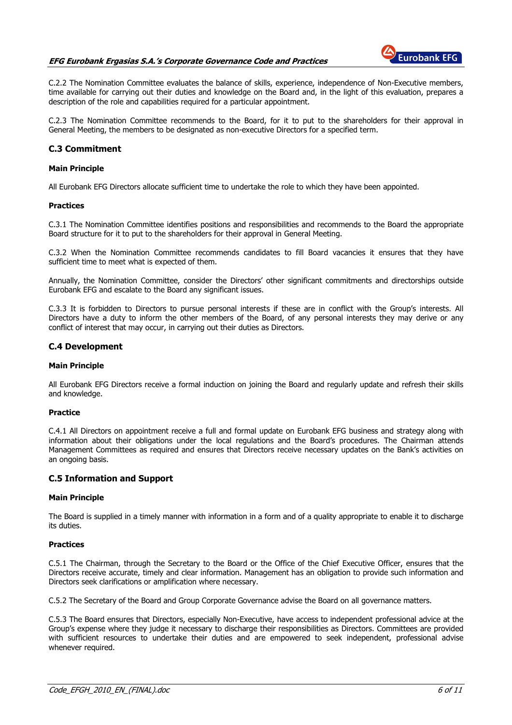

C.2.2 The Nomination Committee evaluates the balance of skills, experience, independence of Non-Executive members, time available for carrying out their duties and knowledge on the Board and, in the light of this evaluation, prepares a description of the role and capabilities required for a particular appointment.

C.2.3 The Nomination Committee recommends to the Board, for it to put to the shareholders for their approval in General Meeting, the members to be designated as non-executive Directors for a specified term.

# C.3 Commitment

#### Main Principle

All Eurobank EFG Directors allocate sufficient time to undertake the role to which they have been appointed.

#### Practices

C.3.1 The Nomination Committee identifies positions and responsibilities and recommends to the Board the appropriate Board structure for it to put to the shareholders for their approval in General Meeting.

C.3.2 When the Nomination Committee recommends candidates to fill Board vacancies it ensures that they have sufficient time to meet what is expected of them.

Annually, the Nomination Committee, consider the Directors' other significant commitments and directorships outside Eurobank EFG and escalate to the Board any significant issues.

C.3.3 It is forbidden to Directors to pursue personal interests if these are in conflict with the Group's interests. All Directors have a duty to inform the other members of the Board, of any personal interests they may derive or any conflict of interest that may occur, in carrying out their duties as Directors.

# C.4 Development

#### Main Principle

All Eurobank EFG Directors receive a formal induction on joining the Board and regularly update and refresh their skills and knowledge.

#### Practice

C.4.1 All Directors on appointment receive a full and formal update on Eurobank EFG business and strategy along with information about their obligations under the local regulations and the Board's procedures. The Chairman attends Management Committees as required and ensures that Directors receive necessary updates on the Bank's activities on an ongoing basis.

# C.5 Information and Support

#### Main Principle

The Board is supplied in a timely manner with information in a form and of a quality appropriate to enable it to discharge its duties.

#### Practices

C.5.1 The Chairman, through the Secretary to the Board or the Office of the Chief Executive Officer, ensures that the Directors receive accurate, timely and clear information. Management has an obligation to provide such information and Directors seek clarifications or amplification where necessary.

C.5.2 The Secretary of the Board and Group Corporate Governance advise the Board on all governance matters.

C.5.3 The Board ensures that Directors, especially Non-Executive, have access to independent professional advice at the Group's expense where they judge it necessary to discharge their responsibilities as Directors. Committees are provided with sufficient resources to undertake their duties and are empowered to seek independent, professional advise whenever required.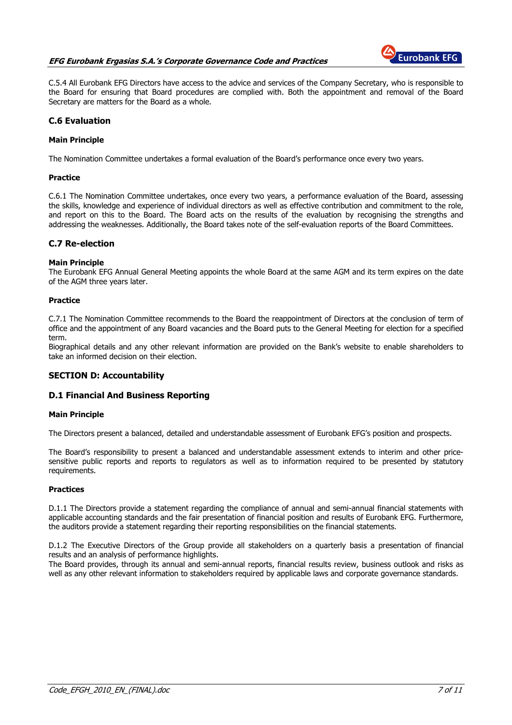# EFG Eurobank Ergasias S.A.'s Corporate Governance Code and Practices



C.5.4 All Eurobank EFG Directors have access to the advice and services of the Company Secretary, who is responsible to the Board for ensuring that Board procedures are complied with. Both the appointment and removal of the Board Secretary are matters for the Board as a whole.

# C.6 Evaluation

# Main Principle

The Nomination Committee undertakes a formal evaluation of the Board's performance once every two years.

#### Practice

C.6.1 The Nomination Committee undertakes, once every two years, a performance evaluation of the Board, assessing the skills, knowledge and experience of individual directors as well as effective contribution and commitment to the role, and report on this to the Board. The Board acts on the results of the evaluation by recognising the strengths and addressing the weaknesses. Additionally, the Board takes note of the self-evaluation reports of the Board Committees.

# C.7 Re-election

#### Main Principle

The Eurobank EFG Annual General Meeting appoints the whole Board at the same AGM and its term expires on the date of the AGM three years later.

#### Practice

C.7.1 The Nomination Committee recommends to the Board the reappointment of Directors at the conclusion of term of office and the appointment of any Board vacancies and the Board puts to the General Meeting for election for a specified term.

Biographical details and any other relevant information are provided on the Bank's website to enable shareholders to take an informed decision on their election.

# SECTION D: Accountability

# D.1 Financial And Business Reporting

#### Main Principle

The Directors present a balanced, detailed and understandable assessment of Eurobank EFG's position and prospects.

The Board's responsibility to present a balanced and understandable assessment extends to interim and other pricesensitive public reports and reports to regulators as well as to information required to be presented by statutory requirements.

# **Practices**

D.1.1 The Directors provide a statement regarding the compliance of annual and semi-annual financial statements with applicable accounting standards and the fair presentation of financial position and results of Eurobank EFG. Furthermore, the auditors provide a statement regarding their reporting responsibilities on the financial statements.

D.1.2 The Executive Directors of the Group provide all stakeholders on a quarterly basis a presentation of financial results and an analysis of performance highlights.

The Board provides, through its annual and semi-annual reports, financial results review, business outlook and risks as well as any other relevant information to stakeholders required by applicable laws and corporate governance standards.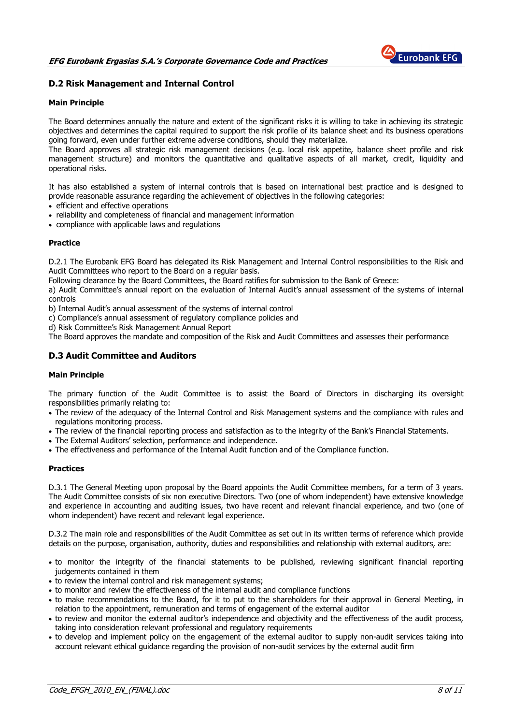

# D.2 Risk Management and Internal Control

# Main Principle

The Board determines annually the nature and extent of the significant risks it is willing to take in achieving its strategic objectives and determines the capital required to support the risk profile of its balance sheet and its business operations going forward, even under further extreme adverse conditions, should they materialize.

The Board approves all strategic risk management decisions (e.g. local risk appetite, balance sheet profile and risk management structure) and monitors the quantitative and qualitative aspects of all market, credit, liquidity and operational risks.

It has also established a system of internal controls that is based on international best practice and is designed to provide reasonable assurance regarding the achievement of objectives in the following categories:

- efficient and effective operations
- reliability and completeness of financial and management information
- compliance with applicable laws and regulations

#### **Practice**

D.2.1 The Eurobank EFG Board has delegated its Risk Management and Internal Control responsibilities to the Risk and Audit Committees who report to the Board on a regular basis.

Following clearance by the Board Committees, the Board ratifies for submission to the Bank of Greece:

a) Audit Committee's annual report on the evaluation of Internal Audit's annual assessment of the systems of internal controls

b) Internal Audit's annual assessment of the systems of internal control

c) Compliance's annual assessment of regulatory compliance policies and

d) Risk Committee's Risk Management Annual Report

The Board approves the mandate and composition of the Risk and Audit Committees and assesses their performance

# D.3 Audit Committee and Auditors

#### Main Principle

The primary function of the Audit Committee is to assist the Board of Directors in discharging its oversight responsibilities primarily relating to:

- The review of the adequacy of the Internal Control and Risk Management systems and the compliance with rules and regulations monitoring process.
- The review of the financial reporting process and satisfaction as to the integrity of the Bank's Financial Statements.
- The External Auditors' selection, performance and independence.
- The effectiveness and performance of the Internal Audit function and of the Compliance function.

#### Practices

D.3.1 The General Meeting upon proposal by the Board appoints the Audit Committee members, for a term of 3 years. The Audit Committee consists of six non executive Directors. Two (one of whom independent) have extensive knowledge and experience in accounting and auditing issues, two have recent and relevant financial experience, and two (one of whom independent) have recent and relevant legal experience.

D.3.2 The main role and responsibilities of the Audit Committee as set out in its written terms of reference which provide details on the purpose, organisation, authority, duties and responsibilities and relationship with external auditors, are:

- to monitor the integrity of the financial statements to be published, reviewing significant financial reporting judgements contained in them
- to review the internal control and risk management systems;
- to monitor and review the effectiveness of the internal audit and compliance functions
- to make recommendations to the Board, for it to put to the shareholders for their approval in General Meeting, in relation to the appointment, remuneration and terms of engagement of the external auditor
- to review and monitor the external auditor's independence and objectivity and the effectiveness of the audit process, taking into consideration relevant professional and regulatory requirements
- to develop and implement policy on the engagement of the external auditor to supply non-audit services taking into account relevant ethical guidance regarding the provision of non-audit services by the external audit firm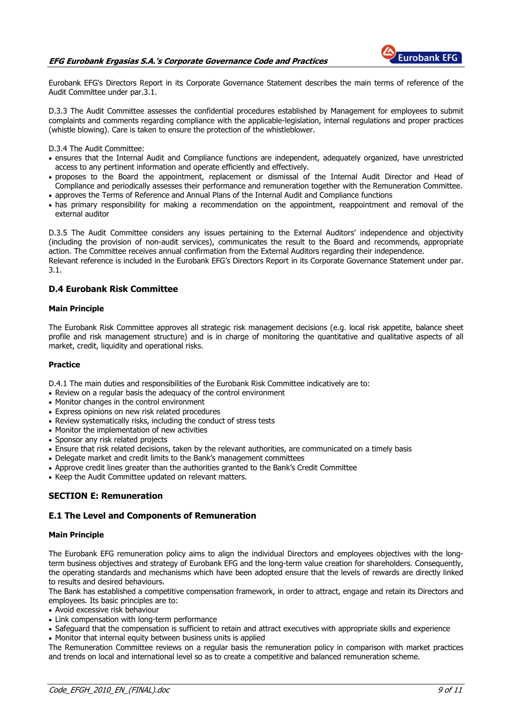

Eurobank EFG's Directors Report in its Corporate Governance Statement describes the main terms of reference of the Audit Committee under par.3.1.

D.3.3 The Audit Committee assesses the confidential procedures established by Management for employees to submit complaints and comments regarding compliance with the applicable-legislation, internal regulations and proper practices (whistle blowing). Care is taken to ensure the protection of the whistleblower.

D.3.4 The Audit Committee:

- ensures that the Internal Audit and Compliance functions are independent, adequately organized, have unrestricted access to any pertinent information and operate efficiently and effectively.
- proposes to the Board the appointment, replacement or dismissal of the Internal Audit Director and Head of Compliance and periodically assesses their performance and remuneration together with the Remuneration Committee.
- approves the Terms of Reference and Annual Plans of the Internal Audit and Compliance functions
- has primary responsibility for making a recommendation on the appointment, reappointment and removal of the external auditor

D.3.5 The Audit Committee considers any issues pertaining to the External Auditors' independence and objectivity (including the provision of non-audit services), communicates the result to the Board and recommends, appropriate action. The Committee receives annual confirmation from the External Auditors regarding their independence. Relevant reference is included in the Eurobank EFG's Directors Report in its Corporate Governance Statement under par.

3.1.

# D.4 Eurobank Risk Committee

#### Main Principle

The Eurobank Risk Committee approves all strategic risk management decisions (e.g. local risk appetite, balance sheet profile and risk management structure) and is in charge of monitoring the quantitative and qualitative aspects of all market, credit, liquidity and operational risks.

#### Practice

D.4.1 The main duties and responsibilities of the Eurobank Risk Committee indicatively are to:

- Review on a regular basis the adequacy of the control environment
- Monitor changes in the control environment
- Express opinions on new risk related procedures
- Review systematically risks, including the conduct of stress tests
- Monitor the implementation of new activities
- Sponsor any risk related projects
- Ensure that risk related decisions, taken by the relevant authorities, are communicated on a timely basis
- Delegate market and credit limits to the Bank's management committees
- Approve credit lines greater than the authorities granted to the Bank's Credit Committee
- Keep the Audit Committee updated on relevant matters.

# SECTION E: Remuneration

# E.1 The Level and Components of Remuneration

#### Main Principle

The Eurobank EFG remuneration policy aims to align the individual Directors and employees objectives with the longterm business objectives and strategy of Eurobank EFG and the long-term value creation for shareholders. Consequently, the operating standards and mechanisms which have been adopted ensure that the levels of rewards are directly linked to results and desired behaviours.

The Bank has established a competitive compensation framework, in order to attract, engage and retain its Directors and employees. Its basic principles are to:

- Avoid excessive risk behaviour
- Link compensation with long-term performance
- Safeguard that the compensation is sufficient to retain and attract executives with appropriate skills and experience
- Monitor that internal equity between business units is applied

The Remuneration Committee reviews on a regular basis the remuneration policy in comparison with market practices and trends on local and international level so as to create a competitive and balanced remuneration scheme.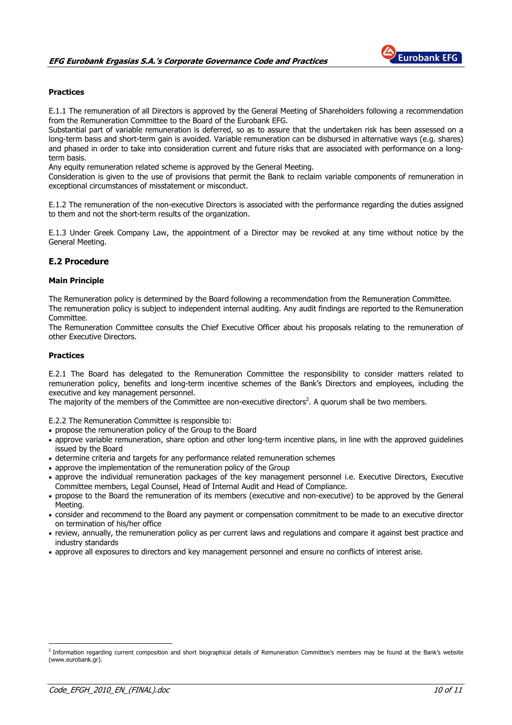

# **Practices**

E.1.1 The remuneration of all Directors is approved by the General Meeting of Shareholders following a recommendation from the Remuneration Committee to the Board of the Eurobank EFG.

Substantial part of variable remuneration is deferred, so as to assure that the undertaken risk has been assessed on a long-term basιs and short-term gain is avoided. Variable remuneration can be disbursed in alternative ways (e.g. shares) and phased in order to take into consideration current and future risks that are associated with performance on a longterm basis.

Any equity remuneration related scheme is approved by the General Meeting.

Consideration is given to the use of provisions that permit the Bank to reclaim variable components of remuneration in exceptional circumstances of misstatement or misconduct.

E.1.2 The remuneration of the non-executive Directors is associated with the performance regarding the duties assigned to them and not the short-term results of the organization.

E.1.3 Under Greek Company Law, the appointment of a Director may be revoked at any time without notice by the General Meeting.

# E.2 Procedure

# Main Principle

The Remuneration policy is determined by the Board following a recommendation from the Remuneration Committee. The remuneration policy is subject to independent internal auditing. Any audit findings are reported to the Remuneration Committee.

The Remuneration Committee consults the Chief Executive Officer about his proposals relating to the remuneration of other Executive Directors.

# Practices

E.2.1 The Board has delegated to the Remuneration Committee the responsibility to consider matters related to remuneration policy, benefits and long-term incentive schemes of the Bank's Directors and employees, including the executive and key management personnel.

The majority of the members of the Committee are non-executive directors<sup>2</sup>. A quorum shall be two members.

E.2.2 The Remuneration Committee is responsible to:

- propose the remuneration policy of the Group to the Board
- approve variable remuneration, share option and other long-term incentive plans, in line with the approved guidelines issued by the Board
- determine criteria and targets for any performance related remuneration schemes
- approve the implementation of the remuneration policy of the Group
- approve the individual remuneration packages of the key management personnel i.e. Executive Directors, Executive Committee members, Legal Counsel, Head of Internal Audit and Head of Compliance.
- propose to the Board the remuneration of its members (executive and non-executive) to be approved by the General Meeting.
- consider and recommend to the Board any payment or compensation commitment to be made to an executive director on termination of his/her office
- review, annually, the remuneration policy as per current laws and regulations and compare it against best practice and industry standards
- approve all exposures to directors and key management personnel and ensure no conflicts of interest arise.

 $\overline{a}$ 

<sup>&</sup>lt;sup>2</sup> Information regarding current composition and short biographical details of Remuneration Committee's members may be found at the Bank's website (www.eurobank.gr).